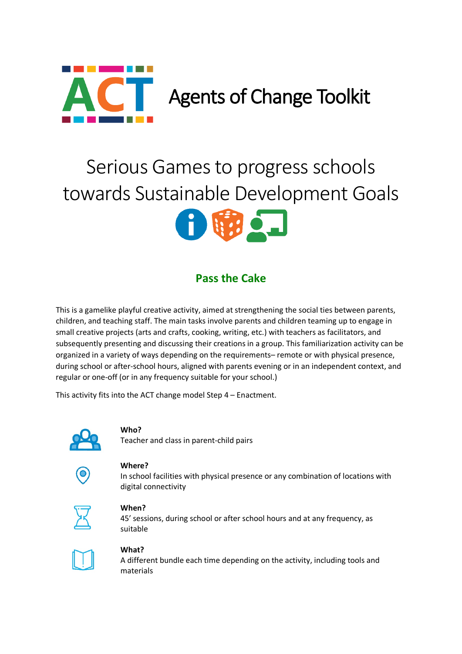

# Serious Games to progress schools towards Sustainable Development Goals



# **Pass the Cake**

This is a gamelike playful creative activity, aimed at strengthening the social ties between parents, children, and teaching staff. The main tasks involve parents and children teaming up to engage in small creative projects (arts and crafts, cooking, writing, etc.) with teachers as facilitators, and subsequently presenting and discussing their creations in a group. This familiarization activity can be organized in a variety of ways depending on the requirements– remote or with physical presence, during school or after-school hours, aligned with parents evening or in an independent context, and regular or one-off (or in any frequency suitable for your school.)

This activity fits into the ACT change model Step 4 – Enactment.



## **Who?**

Teacher and class in parent-child pairs



#### **Where?**

In school facilities with physical presence or any combination of locations with digital connectivity



#### **When?**

45' sessions, during school or after school hours and at any frequency, as suitable

## **What?**

A different bundle each time depending on the activity, including tools and materials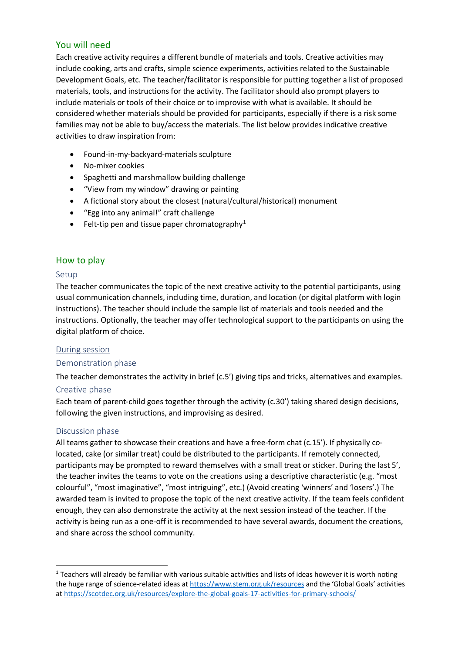# You will need

Each creative activity requires a different bundle of materials and tools. Creative activities may include cooking, arts and crafts, simple science experiments, activities related to the Sustainable Development Goals, etc. The teacher/facilitator is responsible for putting together a list of proposed materials, tools, and instructions for the activity. The facilitator should also prompt players to include materials or tools of their choice or to improvise with what is available. It should be considered whether materials should be provided for participants, especially if there is a risk some families may not be able to buy/access the materials. The list below provides indicative creative activities to draw inspiration from:

- Found-in-my-backyard-materials sculpture
- No-mixer cookies
- Spaghetti and marshmallow building challenge
- "View from my window" drawing or painting
- A fictional story about the closest (natural/cultural/historical) monument
- "Egg into any animal!" craft challenge
- Felt-tip pen and tissue paper chromatography<sup>[1](#page-1-0)</sup>

# How to play

## Setup

The teacher communicates the topic of the next creative activity to the potential participants, using usual communication channels, including time, duration, and location (or digital platform with login instructions). The teacher should include the sample list of materials and tools needed and the instructions. Optionally, the teacher may offer technological support to the participants on using the digital platform of choice.

## During session

## Demonstration phase

The teacher demonstrates the activity in brief (c.5') giving tips and tricks, alternatives and examples.

## Creative phase

Each team of parent-child goes together through the activity (c.30') taking shared design decisions, following the given instructions, and improvising as desired.

## Discussion phase

All teams gather to showcase their creations and have a free-form chat (c.15'). If physically colocated, cake (or similar treat) could be distributed to the participants. If remotely connected, participants may be prompted to reward themselves with a small treat or sticker. During the last 5', the teacher invites the teams to vote on the creations using a descriptive characteristic (e.g. "most colourful", "most imaginative", "most intriguing", etc.) (Avoid creating 'winners' and 'losers'.) The awarded team is invited to propose the topic of the next creative activity. If the team feels confident enough, they can also demonstrate the activity at the next session instead of the teacher. If the activity is being run as a one-off it is recommended to have several awards, document the creations, and share across the school community.

<span id="page-1-0"></span> $1$  Teachers will already be familiar with various suitable activities and lists of ideas however it is worth noting the huge range of science-related ideas a[t https://www.stem.org.uk/resources](https://www.stem.org.uk/resources) and the 'Global Goals' activities a[t https://scotdec.org.uk/resources/explore-the-global-goals-17-activities-for-primary-schools/](https://scotdec.org.uk/resources/explore-the-global-goals-17-activities-for-primary-schools/)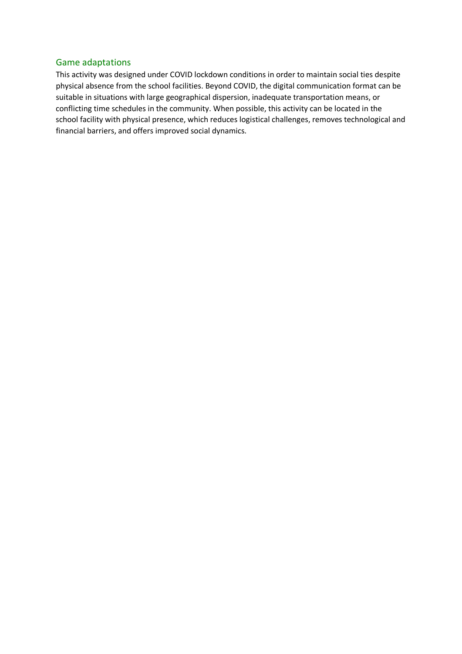## Game adaptations

This activity was designed under COVID lockdown conditions in order to maintain social ties despite physical absence from the school facilities. Beyond COVID, the digital communication format can be suitable in situations with large geographical dispersion, inadequate transportation means, or conflicting time schedules in the community. When possible, this activity can be located in the school facility with physical presence, which reduces logistical challenges, removes technological and financial barriers, and offers improved social dynamics.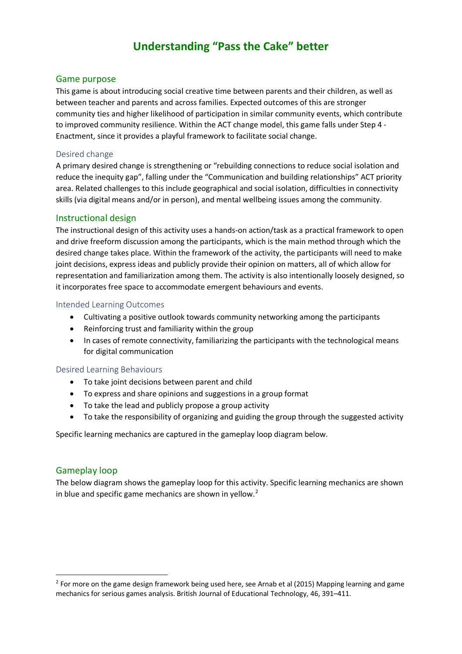# **Understanding "Pass the Cake" better**

## Game purpose

This game is about introducing social creative time between parents and their children, as well as between teacher and parents and across families. Expected outcomes of this are stronger community ties and higher likelihood of participation in similar community events, which contribute to improved community resilience. Within the ACT change model, this game falls under Step 4 - Enactment, since it provides a playful framework to facilitate social change.

#### Desired change

A primary desired change is strengthening or "rebuilding connections to reduce social isolation and reduce the inequity gap", falling under the "Communication and building relationships" ACT priority area. Related challenges to this include geographical and social isolation, difficulties in connectivity skills (via digital means and/or in person), and mental wellbeing issues among the community.

#### Instructional design

The instructional design of this activity uses a hands-on action/task as a practical framework to open and drive freeform discussion among the participants, which is the main method through which the desired change takes place. Within the framework of the activity, the participants will need to make joint decisions, express ideas and publicly provide their opinion on matters, all of which allow for representation and familiarization among them. The activity is also intentionally loosely designed, so it incorporates free space to accommodate emergent behaviours and events.

#### Intended Learning Outcomes

- Cultivating a positive outlook towards community networking among the participants
- Reinforcing trust and familiarity within the group
- In cases of remote connectivity, familiarizing the participants with the technological means for digital communication

## Desired Learning Behaviours

- To take joint decisions between parent and child
- To express and share opinions and suggestions in a group format
- To take the lead and publicly propose a group activity
- To take the responsibility of organizing and guiding the group through the suggested activity

Specific learning mechanics are captured in the gameplay loop diagram below.

## Gameplay loop

The below diagram shows the gameplay loop for this activity. Specific learning mechanics are shown in blue and specific game mechanics are shown in yellow.<sup>[2](#page-3-0)</sup>

<span id="page-3-0"></span> $<sup>2</sup>$  For more on the game design framework being used here, see Arnab et al (2015) Mapping learning and game</sup> mechanics for serious games analysis. British Journal of Educational Technology, 46, 391–411.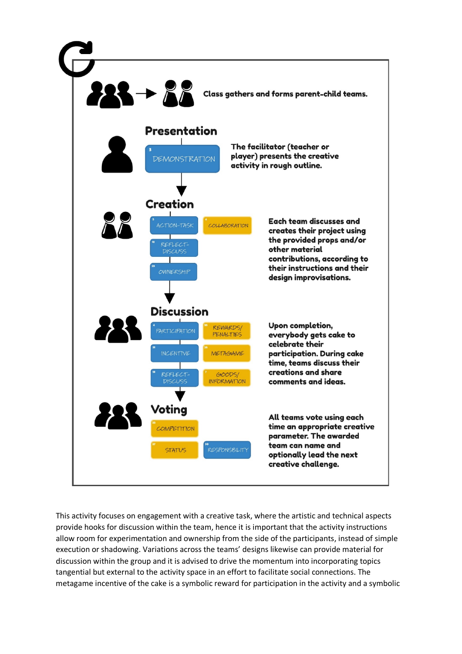

This activity focuses on engagement with a creative task, where the artistic and technical aspects provide hooks for discussion within the team, hence it is important that the activity instructions allow room for experimentation and ownership from the side of the participants, instead of simple execution or shadowing. Variations across the teams' designs likewise can provide material for discussion within the group and it is advised to drive the momentum into incorporating topics tangential but external to the activity space in an effort to facilitate social connections. The metagame incentive of the cake is a symbolic reward for participation in the activity and a symbolic